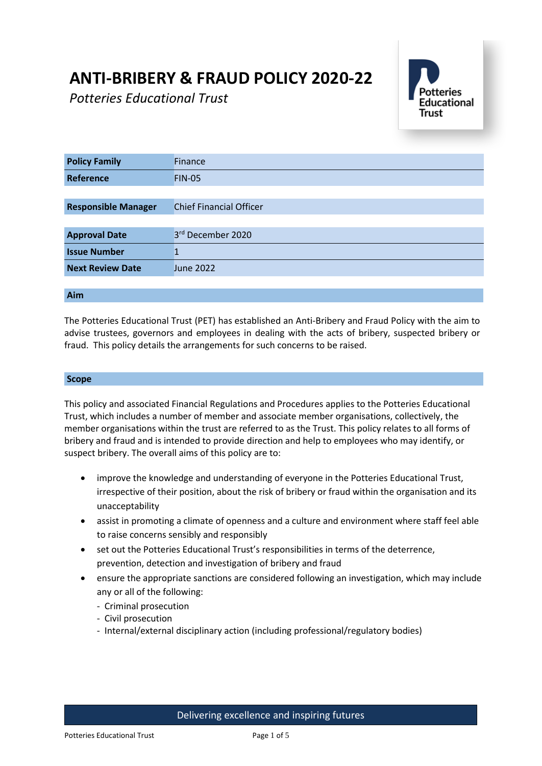# **ANTI-BRIBERY & FRAUD POLICY 2020-22**

*Potteries Educational Trust*



| <b>Policy Family</b>       | Finance                        |
|----------------------------|--------------------------------|
| <b>Reference</b>           | <b>FIN-05</b>                  |
|                            |                                |
| <b>Responsible Manager</b> | <b>Chief Financial Officer</b> |
|                            |                                |
| <b>Approval Date</b>       | 3rd December 2020              |
| <b>Issue Number</b>        |                                |
| <b>Next Review Date</b>    | <b>June 2022</b>               |
|                            |                                |

## **Aim**

The Potteries Educational Trust (PET) has established an Anti-Bribery and Fraud Policy with the aim to advise trustees, governors and employees in dealing with the acts of bribery, suspected bribery or fraud. This policy details the arrangements for such concerns to be raised.

#### **Scope**

This policy and associated Financial Regulations and Procedures applies to the Potteries Educational Trust, which includes a number of member and associate member organisations, collectively, the member organisations within the trust are referred to as the Trust. This policy relates to all forms of bribery and fraud and is intended to provide direction and help to employees who may identify, or suspect bribery. The overall aims of this policy are to:

- improve the knowledge and understanding of everyone in the Potteries Educational Trust, irrespective of their position, about the risk of bribery or fraud within the organisation and its unacceptability
- assist in promoting a climate of openness and a culture and environment where staff feel able to raise concerns sensibly and responsibly
- set out the Potteries Educational Trust's responsibilities in terms of the deterrence, prevention, detection and investigation of bribery and fraud
- ensure the appropriate sanctions are considered following an investigation, which may include any or all of the following:
	- Criminal prosecution
	- Civil prosecution
	- Internal/external disciplinary action (including professional/regulatory bodies)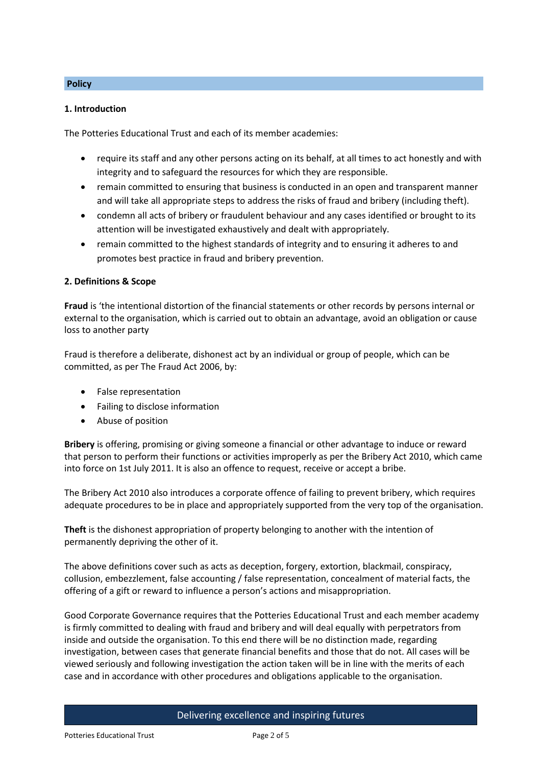## **Policy**

#### **1. Introduction**

The Potteries Educational Trust and each of its member academies:

- require its staff and any other persons acting on its behalf, at all times to act honestly and with integrity and to safeguard the resources for which they are responsible.
- remain committed to ensuring that business is conducted in an open and transparent manner and will take all appropriate steps to address the risks of fraud and bribery (including theft).
- condemn all acts of bribery or fraudulent behaviour and any cases identified or brought to its attention will be investigated exhaustively and dealt with appropriately.
- remain committed to the highest standards of integrity and to ensuring it adheres to and promotes best practice in fraud and bribery prevention.

#### **2. Definitions & Scope**

**Fraud** is 'the intentional distortion of the financial statements or other records by persons internal or external to the organisation, which is carried out to obtain an advantage, avoid an obligation or cause loss to another party

Fraud is therefore a deliberate, dishonest act by an individual or group of people, which can be committed, as per The Fraud Act 2006, by:

- False representation
- Failing to disclose information
- Abuse of position

**Bribery** is offering, promising or giving someone a financial or other advantage to induce or reward that person to perform their functions or activities improperly as per the Bribery Act 2010, which came into force on 1st July 2011. It is also an offence to request, receive or accept a bribe.

The Bribery Act 2010 also introduces a corporate offence of failing to prevent bribery, which requires adequate procedures to be in place and appropriately supported from the very top of the organisation.

**Theft** is the dishonest appropriation of property belonging to another with the intention of permanently depriving the other of it.

The above definitions cover such as acts as deception, forgery, extortion, blackmail, conspiracy, collusion, embezzlement, false accounting / false representation, concealment of material facts, the offering of a gift or reward to influence a person's actions and misappropriation.

Good Corporate Governance requires that the Potteries Educational Trust and each member academy is firmly committed to dealing with fraud and bribery and will deal equally with perpetrators from inside and outside the organisation. To this end there will be no distinction made, regarding investigation, between cases that generate financial benefits and those that do not. All cases will be viewed seriously and following investigation the action taken will be in line with the merits of each case and in accordance with other procedures and obligations applicable to the organisation.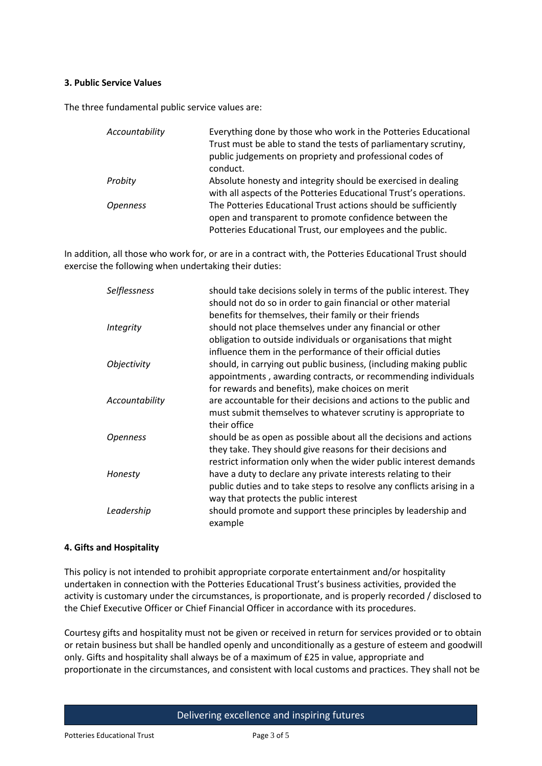## **3. Public Service Values**

The three fundamental public service values are:

| Accountability  | Everything done by those who work in the Potteries Educational<br>Trust must be able to stand the tests of parliamentary scrutiny,<br>public judgements on propriety and professional codes of<br>conduct. |
|-----------------|------------------------------------------------------------------------------------------------------------------------------------------------------------------------------------------------------------|
| Probity         | Absolute honesty and integrity should be exercised in dealing<br>with all aspects of the Potteries Educational Trust's operations.                                                                         |
| <b>Openness</b> | The Potteries Educational Trust actions should be sufficiently<br>open and transparent to promote confidence between the<br>Potteries Educational Trust, our employees and the public.                     |

In addition, all those who work for, or are in a contract with, the Potteries Educational Trust should exercise the following when undertaking their duties:

| Selflessness              | should take decisions solely in terms of the public interest. They<br>should not do so in order to gain financial or other material                                                                  |
|---------------------------|------------------------------------------------------------------------------------------------------------------------------------------------------------------------------------------------------|
| <b>Integrity</b>          | benefits for themselves, their family or their friends<br>should not place themselves under any financial or other<br>obligation to outside individuals or organisations that might                  |
| <i><b>Objectivity</b></i> | influence them in the performance of their official duties<br>should, in carrying out public business, (including making public                                                                      |
|                           | appointments, awarding contracts, or recommending individuals<br>for rewards and benefits), make choices on merit                                                                                    |
| Accountability            | are accountable for their decisions and actions to the public and<br>must submit themselves to whatever scrutiny is appropriate to<br>their office                                                   |
| <i><b>Openness</b></i>    | should be as open as possible about all the decisions and actions<br>they take. They should give reasons for their decisions and<br>restrict information only when the wider public interest demands |
| Honesty                   | have a duty to declare any private interests relating to their<br>public duties and to take steps to resolve any conflicts arising in a<br>way that protects the public interest                     |
| Leadership                | should promote and support these principles by leadership and<br>example                                                                                                                             |

## **4. Gifts and Hospitality**

This policy is not intended to prohibit appropriate corporate entertainment and/or hospitality undertaken in connection with the Potteries Educational Trust's business activities, provided the activity is customary under the circumstances, is proportionate, and is properly recorded / disclosed to the Chief Executive Officer or Chief Financial Officer in accordance with its procedures.

Courtesy gifts and hospitality must not be given or received in return for services provided or to obtain or retain business but shall be handled openly and unconditionally as a gesture of esteem and goodwill only. Gifts and hospitality shall always be of a maximum of £25 in value, appropriate and proportionate in the circumstances, and consistent with local customs and practices. They shall not be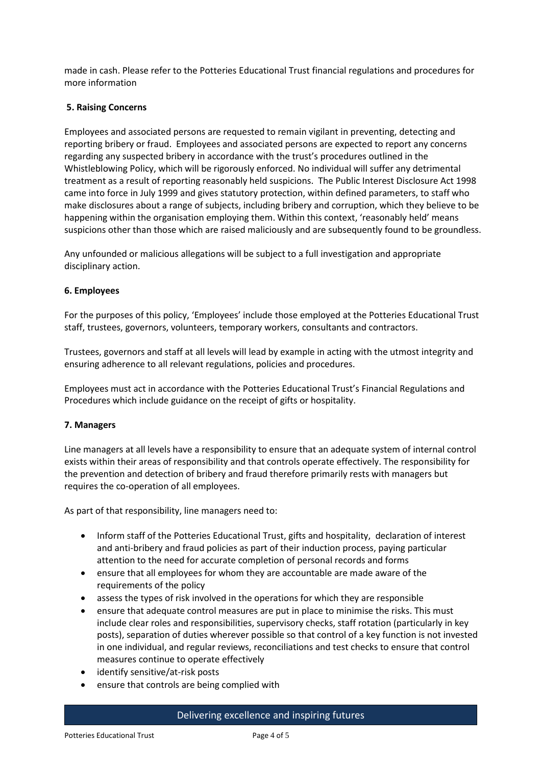made in cash. Please refer to the Potteries Educational Trust financial regulations and procedures for more information

## **5. Raising Concerns**

Employees and associated persons are requested to remain vigilant in preventing, detecting and reporting bribery or fraud. Employees and associated persons are expected to report any concerns regarding any suspected bribery in accordance with the trust's procedures outlined in the Whistleblowing Policy, which will be rigorously enforced. No individual will suffer any detrimental treatment as a result of reporting reasonably held suspicions. The Public Interest Disclosure Act 1998 came into force in July 1999 and gives statutory protection, within defined parameters, to staff who make disclosures about a range of subjects, including bribery and corruption, which they believe to be happening within the organisation employing them. Within this context, 'reasonably held' means suspicions other than those which are raised maliciously and are subsequently found to be groundless.

Any unfounded or malicious allegations will be subject to a full investigation and appropriate disciplinary action.

## **6. Employees**

For the purposes of this policy, 'Employees' include those employed at the Potteries Educational Trust staff, trustees, governors, volunteers, temporary workers, consultants and contractors.

Trustees, governors and staff at all levels will lead by example in acting with the utmost integrity and ensuring adherence to all relevant regulations, policies and procedures.

Employees must act in accordance with the Potteries Educational Trust's Financial Regulations and Procedures which include guidance on the receipt of gifts or hospitality.

## **7. Managers**

Line managers at all levels have a responsibility to ensure that an adequate system of internal control exists within their areas of responsibility and that controls operate effectively. The responsibility for the prevention and detection of bribery and fraud therefore primarily rests with managers but requires the co-operation of all employees.

As part of that responsibility, line managers need to:

- Inform staff of the Potteries Educational Trust, gifts and hospitality, declaration of interest and anti-bribery and fraud policies as part of their induction process, paying particular attention to the need for accurate completion of personal records and forms
- ensure that all employees for whom they are accountable are made aware of the requirements of the policy
- assess the types of risk involved in the operations for which they are responsible
- ensure that adequate control measures are put in place to minimise the risks. This must include clear roles and responsibilities, supervisory checks, staff rotation (particularly in key posts), separation of duties wherever possible so that control of a key function is not invested in one individual, and regular reviews, reconciliations and test checks to ensure that control measures continue to operate effectively
- identify sensitive/at-risk posts
- ensure that controls are being complied with